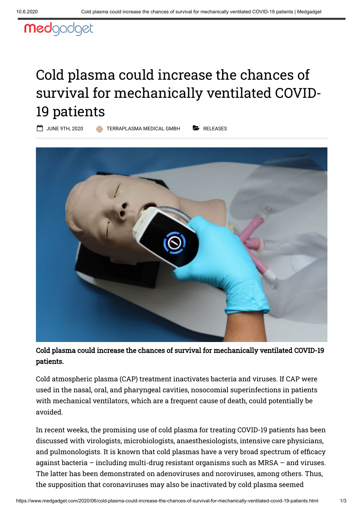## medgadget

## Cold plasma could increase the chances of survival for mechanically ventilated COVID-19 patients

JUNE 9TH, 2020 [TERRAPLASMA MEDICAL GMBH](https://www.medgadget.com/author/jens-kirsch) [RELEASES](https://www.medgadget.com/archives/releases)

Cold plasma could increase the chances of survival for mechanically ventilated COVID-19 patients.

Cold atmospheric plasma (CAP) treatment inactivates bacteria and viruses. If CAP were used in the nasal, oral, and pharyngeal cavities, nosocomial superinfections in patients with mechanical ventilators, which are a frequent cause of death, could potentially be avoided.

In recent weeks, the promising use of cold plasma for treating COVID-19 patients has been discussed with virologists, microbiologists, anaesthesiologists, intensive care physicians, and pulmonologists. It is known that cold plasmas have a very broad spectrum of efficacy against bacteria – including multi-drug resistant organisms such as MRSA – and viruses. The latter has been demonstrated on adenoviruses and noroviruses, among others. Thus, the supposition that coronaviruses may also be inactivated by cold plasma seemed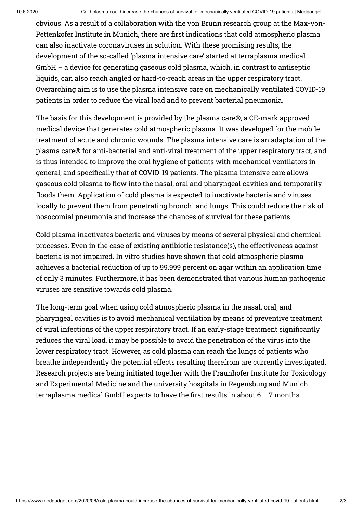obvious. As a result of a collaboration with the von Brunn research group at the Max-von-Pettenkofer Institute in Munich, there are first indications that cold atmospheric plasma can also inactivate coronaviruses in solution. With these promising results, the development of the so-called 'plasma intensive care' started at terraplasma medical GmbH – a device for generating gaseous cold plasma, which, in contrast to antiseptic liquids, can also reach angled or hard-to-reach areas in the upper respiratory tract. Overarching aim is to use the plasma intensive care on mechanically ventilated COVID-19 patients in order to reduce the viral load and to prevent bacterial pneumonia.

The basis for this development is provided by the plasma care®, a CE-mark approved medical device that generates cold atmospheric plasma. It was developed for the mobile treatment of acute and chronic wounds. The plasma intensive care is an adaptation of the plasma care® for anti-bacterial and anti-viral treatment of the upper respiratory tract, and is thus intended to improve the oral hygiene of patients with mechanical ventilators in general, and specifically that of COVID-19 patients. The plasma intensive care allows gaseous cold plasma to flow into the nasal, oral and pharyngeal cavities and temporarily floods them. Application of cold plasma is expected to inactivate bacteria and viruses locally to prevent them from penetrating bronchi and lungs. This could reduce the risk of nosocomial pneumonia and increase the chances of survival for these patients.

Cold plasma inactivates bacteria and viruses by means of several physical and chemical processes. Even in the case of existing antibiotic resistance(s), the effectiveness against bacteria is not impaired. In vitro studies have shown that cold atmospheric plasma achieves a bacterial reduction of up to 99.999 percent on agar within an application time of only 3 minutes. Furthermore, it has been demonstrated that various human pathogenic viruses are sensitive towards cold plasma.

The long-term goal when using cold atmospheric plasma in the nasal, oral, and pharyngeal cavities is to avoid mechanical ventilation by means of preventive treatment of viral infections of the upper respiratory tract. If an early-stage treatment signicantly reduces the viral load, it may be possible to avoid the penetration of the virus into the lower respiratory tract. However, as cold plasma can reach the lungs of patients who breathe independently the potential effects resulting therefrom are currently investigated. Research projects are being initiated together with the Fraunhofer Institute for Toxicology and Experimental Medicine and the university hospitals in Regensburg and Munich. terraplasma medical GmbH expects to have the first results in about  $6 - 7$  months.